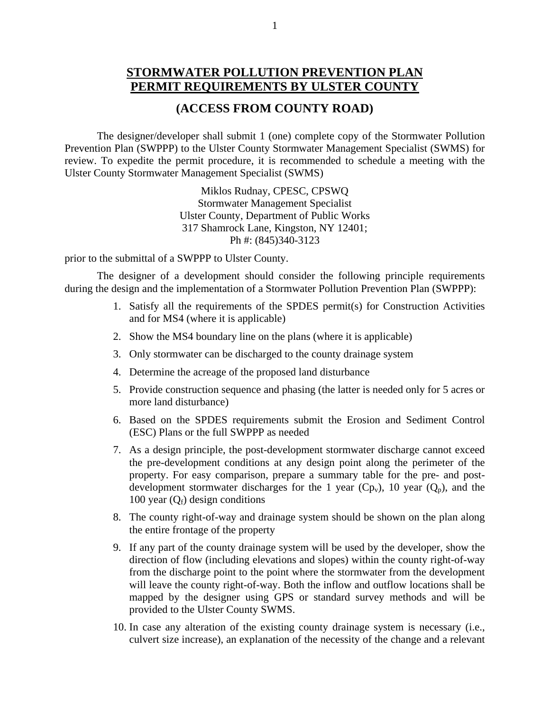## **STORMWATER POLLUTION PREVENTION PLAN PERMIT REQUIREMENTS BY ULSTER COUNTY**

## **(ACCESS FROM COUNTY ROAD)**

 The designer/developer shall submit 1 (one) complete copy of the Stormwater Pollution Prevention Plan (SWPPP) to the Ulster County Stormwater Management Specialist (SWMS) for review. To expedite the permit procedure, it is recommended to schedule a meeting with the Ulster County Stormwater Management Specialist (SWMS)

> Miklos Rudnay, CPESC, CPSWQ Stormwater Management Specialist Ulster County, Department of Public Works 317 Shamrock Lane, Kingston, NY 12401; Ph #: (845)340-3123

prior to the submittal of a SWPPP to Ulster County.

 The designer of a development should consider the following principle requirements during the design and the implementation of a Stormwater Pollution Prevention Plan (SWPPP):

- 1. Satisfy all the requirements of the SPDES permit(s) for Construction Activities and for MS4 (where it is applicable)
- 2. Show the MS4 boundary line on the plans (where it is applicable)
- 3. Only stormwater can be discharged to the county drainage system
- 4. Determine the acreage of the proposed land disturbance
- 5. Provide construction sequence and phasing (the latter is needed only for 5 acres or more land disturbance)
- 6. Based on the SPDES requirements submit the Erosion and Sediment Control (ESC) Plans or the full SWPPP as needed
- 7. As a design principle, the post-development stormwater discharge cannot exceed the pre-development conditions at any design point along the perimeter of the property. For easy comparison, prepare a summary table for the pre- and postdevelopment stormwater discharges for the 1 year  $(Cp_v)$ , 10 year  $(Q_p)$ , and the 100 year  $(O_f)$  design conditions
- 8. The county right-of-way and drainage system should be shown on the plan along the entire frontage of the property
- 9. If any part of the county drainage system will be used by the developer, show the direction of flow (including elevations and slopes) within the county right-of-way from the discharge point to the point where the stormwater from the development will leave the county right-of-way. Both the inflow and outflow locations shall be mapped by the designer using GPS or standard survey methods and will be provided to the Ulster County SWMS.
- 10. In case any alteration of the existing county drainage system is necessary (i.e., culvert size increase), an explanation of the necessity of the change and a relevant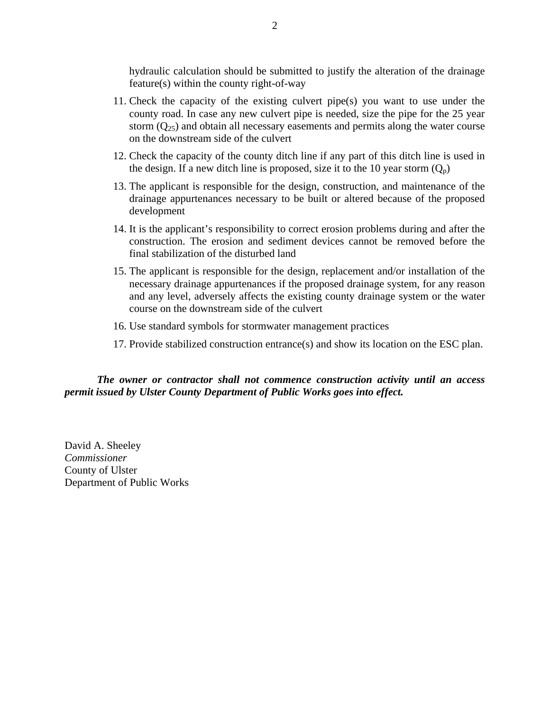hydraulic calculation should be submitted to justify the alteration of the drainage feature(s) within the county right-of-way

- 11. Check the capacity of the existing culvert pipe(s) you want to use under the county road. In case any new culvert pipe is needed, size the pipe for the 25 year storm  $(Q_{25})$  and obtain all necessary easements and permits along the water course on the downstream side of the culvert
- 12. Check the capacity of the county ditch line if any part of this ditch line is used in the design. If a new ditch line is proposed, size it to the 10 year storm  $(Q_p)$
- 13. The applicant is responsible for the design, construction, and maintenance of the drainage appurtenances necessary to be built or altered because of the proposed development
- 14. It is the applicant's responsibility to correct erosion problems during and after the construction. The erosion and sediment devices cannot be removed before the final stabilization of the disturbed land
- 15. The applicant is responsible for the design, replacement and/or installation of the necessary drainage appurtenances if the proposed drainage system, for any reason and any level, adversely affects the existing county drainage system or the water course on the downstream side of the culvert
- 16. Use standard symbols for stormwater management practices
- 17. Provide stabilized construction entrance(s) and show its location on the ESC plan.

*The owner or contractor shall not commence construction activity until an access permit issued by Ulster County Department of Public Works goes into effect.* 

David A. Sheeley *Commissioner*  County of Ulster Department of Public Works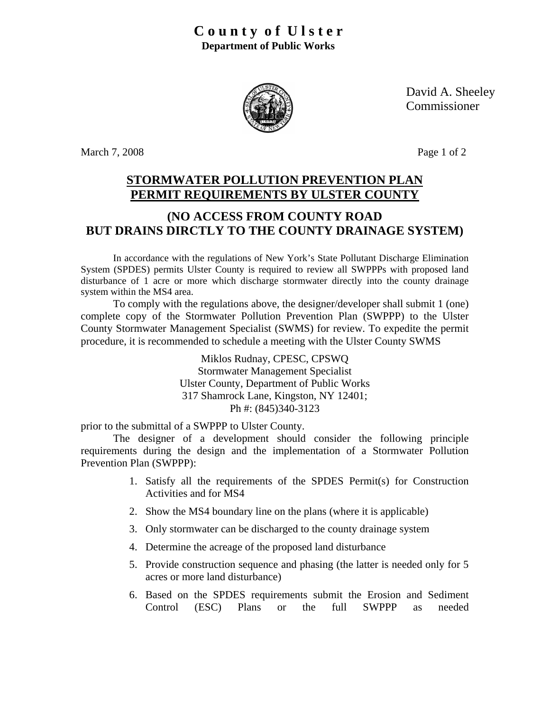

David A. Sheeley Commissioner

March 7, 2008 Page 1 of 2

## **STORMWATER POLLUTION PREVENTION PLAN PERMIT REQUIREMENTS BY ULSTER COUNTY**

## **(NO ACCESS FROM COUNTY ROAD BUT DRAINS DIRCTLY TO THE COUNTY DRAINAGE SYSTEM)**

In accordance with the regulations of New York's State Pollutant Discharge Elimination System (SPDES) permits Ulster County is required to review all SWPPPs with proposed land disturbance of 1 acre or more which discharge stormwater directly into the county drainage system within the MS4 area.

To comply with the regulations above, the designer/developer shall submit 1 (one) complete copy of the Stormwater Pollution Prevention Plan (SWPPP) to the Ulster County Stormwater Management Specialist (SWMS) for review. To expedite the permit procedure, it is recommended to schedule a meeting with the Ulster County SWMS

> Miklos Rudnay, CPESC, CPSWQ Stormwater Management Specialist Ulster County, Department of Public Works 317 Shamrock Lane, Kingston, NY 12401; Ph #: (845)340-3123

prior to the submittal of a SWPPP to Ulster County.

The designer of a development should consider the following principle requirements during the design and the implementation of a Stormwater Pollution Prevention Plan (SWPPP):

- 1. Satisfy all the requirements of the SPDES Permit(s) for Construction Activities and for MS4
- 2. Show the MS4 boundary line on the plans (where it is applicable)
- 3. Only stormwater can be discharged to the county drainage system
- 4. Determine the acreage of the proposed land disturbance
- 5. Provide construction sequence and phasing (the latter is needed only for 5 acres or more land disturbance)
- 6. Based on the SPDES requirements submit the Erosion and Sediment Control (ESC) Plans or the full SWPPP as needed